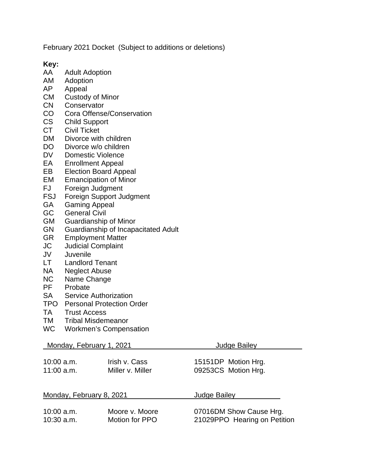February 2021 Docket (Subject to additions or deletions)

**Key:**

- **Adult Adoption**
- AM Adoption
- AP Appeal
- CM Custody of Minor
- CN Conservator
- CO Cora Offense/Conservation
- CS Child Support<br>CT Civil Ticket
- Civil Ticket
- DM Divorce with children
- DO Divorce w/o children
- DV Domestic Violence<br>EA Enrollment Appeal
- Enrollment Appeal
- EB Election Board Appeal
- EM Emancipation of Minor<br>FJ Foreian Judament
- FJ Foreign Judgment<br>FSJ Foreign Support Ju
- FSJ Foreign Support Judgment<br>GA Gaming Appeal
- Gaming Appeal
- GC General Civil
- GM Guardianship of Minor
- GN Guardianship of Incapacitated Adult<br>GR Employment Matter
- **Employment Matter**
- JC Judicial Complaint
- JV Juvenile
- Landlord Tenant
- NA Neglect Abuse<br>NC Name Change
- NC Name Change<br>PF Probate
- Probate
- SA Service Authorization
- TPO Personal Protection Order
- TA Trust Access
- TM Tribal Misdemeanor
- WC Workmen's Compensation

| Monday, February 1, 2021 |                  | <b>Judge Bailey</b>          |  |
|--------------------------|------------------|------------------------------|--|
| $10:00$ a.m.             | Irish v. Cass    | 15151DP Motion Hrg.          |  |
| $11:00$ a.m.             | Miller v. Miller | 09253CS Motion Hrg.          |  |
| Monday, February 8, 2021 |                  | Judge Bailey                 |  |
| $10:00$ a.m.             | Moore v. Moore   | 07016DM Show Cause Hrg.      |  |
| $10:30$ a.m.             | Motion for PPO   | 21029PPO Hearing on Petition |  |